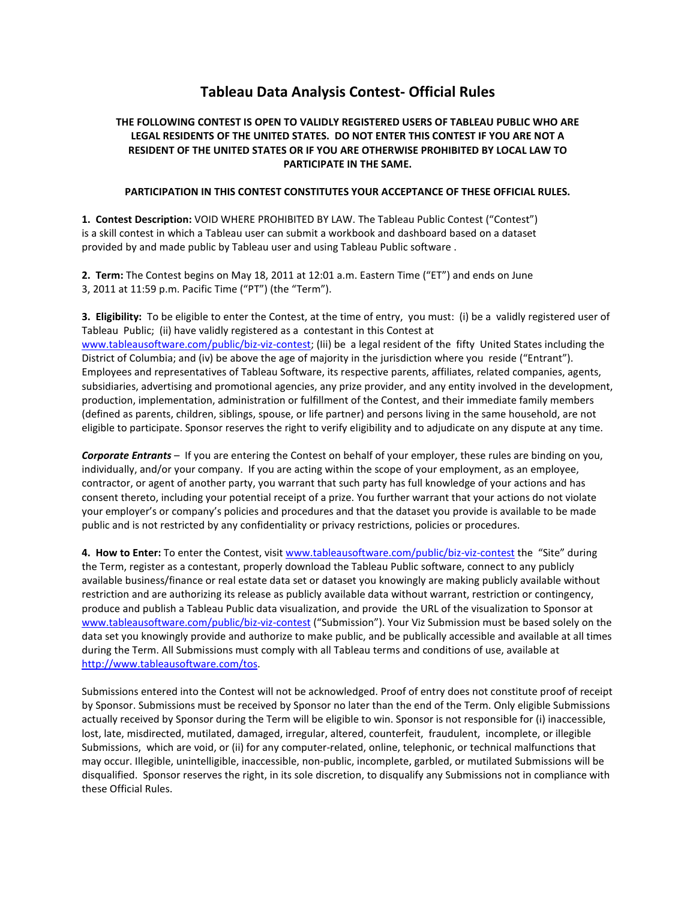## **Tableau Data Analysis Contest- Official Rules**

## **THE FOLLOWING CONTEST IS OPEN TO VALIDLY REGISTERED USERS OF TABLEAU PUBLIC WHO ARE LEGAL RESIDENTS OF THE UNITED STATES. DO NOT ENTER THIS CONTEST IF YOU ARE NOT A RESIDENT OF THE UNITED STATES OR IF YOU ARE OTHERWISE PROHIBITED BY LOCAL LAW TO PARTICIPATE IN THE SAME.**

## **PARTICIPATION IN THIS CONTEST CONSTITUTES YOUR ACCEPTANCE OF THESE OFFICIAL RULES.**

**1. Contest Description:** VOID WHERE PROHIBITED BY LAW. The Tableau Public Contest ("Contest") is a skill contest in which a Tableau user can submit a workbook and dashboard based on a dataset provided by and made public by Tableau user and using Tableau Public software .

**2. Term:** The Contest begins on May 18, 2011 at 12:01 a.m. Eastern Time ("ET") and ends on June 3, 2011 at 11:59 p.m. Pacific Time ("PT") (the "Term").

**3. Eligibility:** To be eligible to enter the Contest, at the time of entry, you must: (i) be a validly registered user of Tableau Public; (ii) have validly registered as a contestant in this Contest at www.tableausoftware.com/public/biz-viz-contest; (Iii) be a legal resident of the fifty United States including the District of Columbia; and (iv) be above the age of majority in the jurisdiction where you reside ("Entrant"). Employees and representatives of Tableau Software, its respective parents, affiliates, related companies, agents, subsidiaries, advertising and promotional agencies, any prize provider, and any entity involved in the development, production, implementation, administration or fulfillment of the Contest, and their immediate family members (defined as parents, children, siblings, spouse, or life partner) and persons living in the same household, are not eligible to participate. Sponsor reserves the right to verify eligibility and to adjudicate on any dispute at any time.

*Corporate Entrants* – If you are entering the Contest on behalf of your employer, these rules are binding on you, individually, and/or your company. If you are acting within the scope of your employment, as an employee, contractor, or agent of another party, you warrant that such party has full knowledge of your actions and has consent thereto, including your potential receipt of a prize. You further warrant that your actions do not violate your employer's or company's policies and procedures and that the dataset you provide is available to be made public and is not restricted by any confidentiality or privacy restrictions, policies or procedures.

**4. How to Enter:** To enter the Contest, visit www.tableausoftware.com/public/biz-viz-contest the "Site" during the Term, register as a contestant, properly download the Tableau Public software, connect to any publicly available business/finance or real estate data set or dataset you knowingly are making publicly available without restriction and are authorizing its release as publicly available data without warrant, restriction or contingency, produce and publish a Tableau Public data visualization, and provide the URL of the visualization to Sponsor at www.tableausoftware.com/public/biz-viz-contest ("Submission"). Your Viz Submission must be based solely on the data set you knowingly provide and authorize to make public, and be publically accessible and available at all times during the Term. All Submissions must comply with all Tableau terms and conditions of use, available at http://www.tableausoftware.com/tos.

Submissions entered into the Contest will not be acknowledged. Proof of entry does not constitute proof of receipt by Sponsor. Submissions must be received by Sponsor no later than the end of the Term. Only eligible Submissions actually received by Sponsor during the Term will be eligible to win. Sponsor is not responsible for (i) inaccessible, lost, late, misdirected, mutilated, damaged, irregular, altered, counterfeit, fraudulent, incomplete, or illegible Submissions, which are void, or (ii) for any computer-related, online, telephonic, or technical malfunctions that may occur. Illegible, unintelligible, inaccessible, non-public, incomplete, garbled, or mutilated Submissions will be disqualified. Sponsor reserves the right, in its sole discretion, to disqualify any Submissions not in compliance with these Official Rules.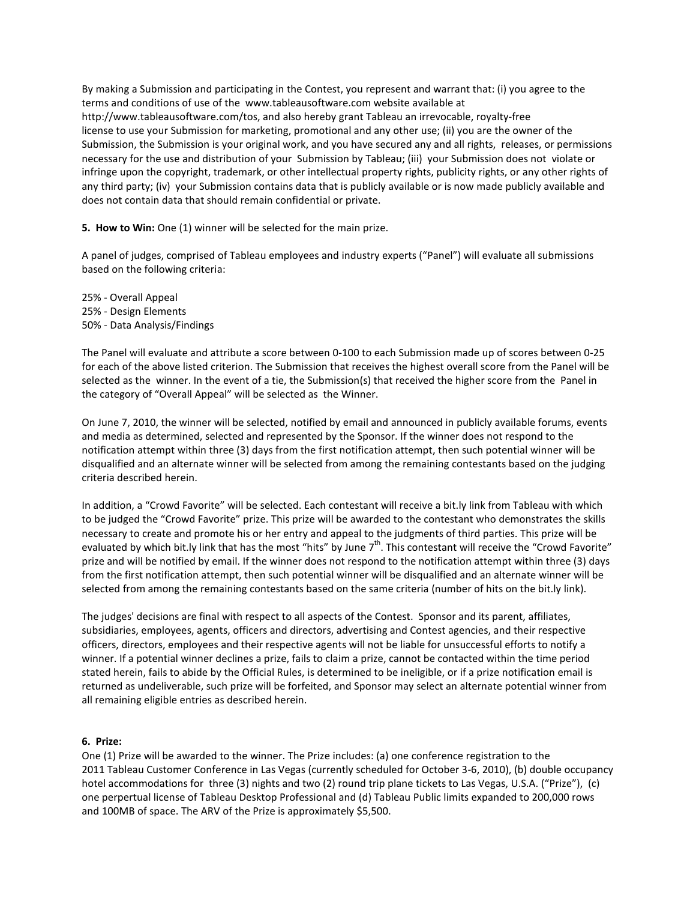By making a Submission and participating in the Contest, you represent and warrant that: (i) you agree to the terms and conditions of use of the www.tableausoftware.com website available at http://www.tableausoftware.com/tos, and also hereby grant Tableau an irrevocable, royalty-free license to use your Submission for marketing, promotional and any other use; (ii) you are the owner of the Submission, the Submission is your original work, and you have secured any and all rights, releases, or permissions necessary for the use and distribution of your Submission by Tableau; (iii) your Submission does not violate or infringe upon the copyright, trademark, or other intellectual property rights, publicity rights, or any other rights of any third party; (iv) your Submission contains data that is publicly available or is now made publicly available and does not contain data that should remain confidential or private.

**5. How to Win:** One (1) winner will be selected for the main prize.

A panel of judges, comprised of Tableau employees and industry experts ("Panel") will evaluate all submissions based on the following criteria:

25% - Overall Appeal 25% - Design Elements 50% - Data Analysis/Findings

The Panel will evaluate and attribute a score between 0-100 to each Submission made up of scores between 0-25 for each of the above listed criterion. The Submission that receives the highest overall score from the Panel will be selected as the winner. In the event of a tie, the Submission(s) that received the higher score from the Panel in the category of "Overall Appeal" will be selected as the Winner.

On June 7, 2010, the winner will be selected, notified by email and announced in publicly available forums, events and media as determined, selected and represented by the Sponsor. If the winner does not respond to the notification attempt within three (3) days from the first notification attempt, then such potential winner will be disqualified and an alternate winner will be selected from among the remaining contestants based on the judging criteria described herein.

In addition, a "Crowd Favorite" will be selected. Each contestant will receive a bit.ly link from Tableau with which to be judged the "Crowd Favorite" prize. This prize will be awarded to the contestant who demonstrates the skills necessary to create and promote his or her entry and appeal to the judgments of third parties. This prize will be evaluated by which bit.ly link that has the most "hits" by June  $7<sup>th</sup>$ . This contestant will receive the "Crowd Favorite" prize and will be notified by email. If the winner does not respond to the notification attempt within three (3) days from the first notification attempt, then such potential winner will be disqualified and an alternate winner will be selected from among the remaining contestants based on the same criteria (number of hits on the bit.ly link).

The judges' decisions are final with respect to all aspects of the Contest. Sponsor and its parent, affiliates, subsidiaries, employees, agents, officers and directors, advertising and Contest agencies, and their respective officers, directors, employees and their respective agents will not be liable for unsuccessful efforts to notify a winner. If a potential winner declines a prize, fails to claim a prize, cannot be contacted within the time period stated herein, fails to abide by the Official Rules, is determined to be ineligible, or if a prize notification email is returned as undeliverable, such prize will be forfeited, and Sponsor may select an alternate potential winner from all remaining eligible entries as described herein.

## **6. Prize:**

One (1) Prize will be awarded to the winner. The Prize includes: (a) one conference registration to the 2011 Tableau Customer Conference in Las Vegas (currently scheduled for October 3-6, 2010), (b) double occupancy hotel accommodations for three (3) nights and two (2) round trip plane tickets to Las Vegas, U.S.A. ("Prize"), (c) one perpertual license of Tableau Desktop Professional and (d) Tableau Public limits expanded to 200,000 rows and 100MB of space. The ARV of the Prize is approximately \$5,500.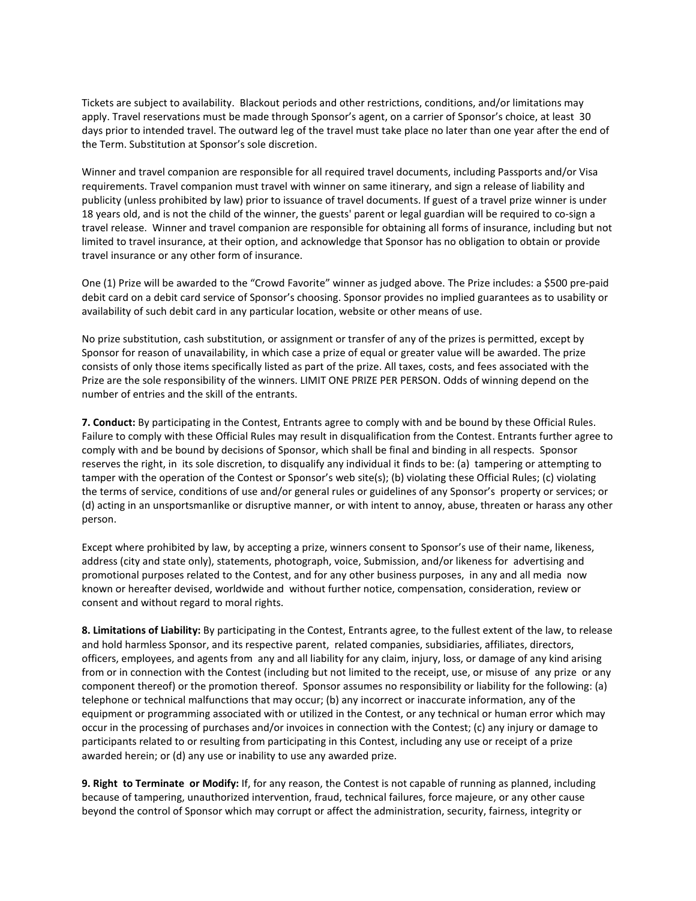Tickets are subject to availability. Blackout periods and other restrictions, conditions, and/or limitations may apply. Travel reservations must be made through Sponsor's agent, on a carrier of Sponsor's choice, at least 30 days prior to intended travel. The outward leg of the travel must take place no later than one year after the end of the Term. Substitution at Sponsor's sole discretion.

Winner and travel companion are responsible for all required travel documents, including Passports and/or Visa requirements. Travel companion must travel with winner on same itinerary, and sign a release of liability and publicity (unless prohibited by law) prior to issuance of travel documents. If guest of a travel prize winner is under 18 years old, and is not the child of the winner, the guests' parent or legal guardian will be required to co-sign a travel release. Winner and travel companion are responsible for obtaining all forms of insurance, including but not limited to travel insurance, at their option, and acknowledge that Sponsor has no obligation to obtain or provide travel insurance or any other form of insurance.

One (1) Prize will be awarded to the "Crowd Favorite" winner as judged above. The Prize includes: a \$500 pre-paid debit card on a debit card service of Sponsor's choosing. Sponsor provides no implied guarantees as to usability or availability of such debit card in any particular location, website or other means of use.

No prize substitution, cash substitution, or assignment or transfer of any of the prizes is permitted, except by Sponsor for reason of unavailability, in which case a prize of equal or greater value will be awarded. The prize consists of only those items specifically listed as part of the prize. All taxes, costs, and fees associated with the Prize are the sole responsibility of the winners. LIMIT ONE PRIZE PER PERSON. Odds of winning depend on the number of entries and the skill of the entrants.

**7. Conduct:** By participating in the Contest, Entrants agree to comply with and be bound by these Official Rules. Failure to comply with these Official Rules may result in disqualification from the Contest. Entrants further agree to comply with and be bound by decisions of Sponsor, which shall be final and binding in all respects. Sponsor reserves the right, in its sole discretion, to disqualify any individual it finds to be: (a) tampering or attempting to tamper with the operation of the Contest or Sponsor's web site(s); (b) violating these Official Rules; (c) violating the terms of service, conditions of use and/or general rules or guidelines of any Sponsor's property or services; or (d) acting in an unsportsmanlike or disruptive manner, or with intent to annoy, abuse, threaten or harass any other person.

Except where prohibited by law, by accepting a prize, winners consent to Sponsor's use of their name, likeness, address (city and state only), statements, photograph, voice, Submission, and/or likeness for advertising and promotional purposes related to the Contest, and for any other business purposes, in any and all media now known or hereafter devised, worldwide and without further notice, compensation, consideration, review or consent and without regard to moral rights.

**8. Limitations of Liability:** By participating in the Contest, Entrants agree, to the fullest extent of the law, to release and hold harmless Sponsor, and its respective parent, related companies, subsidiaries, affiliates, directors, officers, employees, and agents from any and all liability for any claim, injury, loss, or damage of any kind arising from or in connection with the Contest (including but not limited to the receipt, use, or misuse of any prize or any component thereof) or the promotion thereof. Sponsor assumes no responsibility or liability for the following: (a) telephone or technical malfunctions that may occur; (b) any incorrect or inaccurate information, any of the equipment or programming associated with or utilized in the Contest, or any technical or human error which may occur in the processing of purchases and/or invoices in connection with the Contest; (c) any injury or damage to participants related to or resulting from participating in this Contest, including any use or receipt of a prize awarded herein; or (d) any use or inability to use any awarded prize.

**9. Right to Terminate or Modify:** If, for any reason, the Contest is not capable of running as planned, including because of tampering, unauthorized intervention, fraud, technical failures, force majeure, or any other cause beyond the control of Sponsor which may corrupt or affect the administration, security, fairness, integrity or